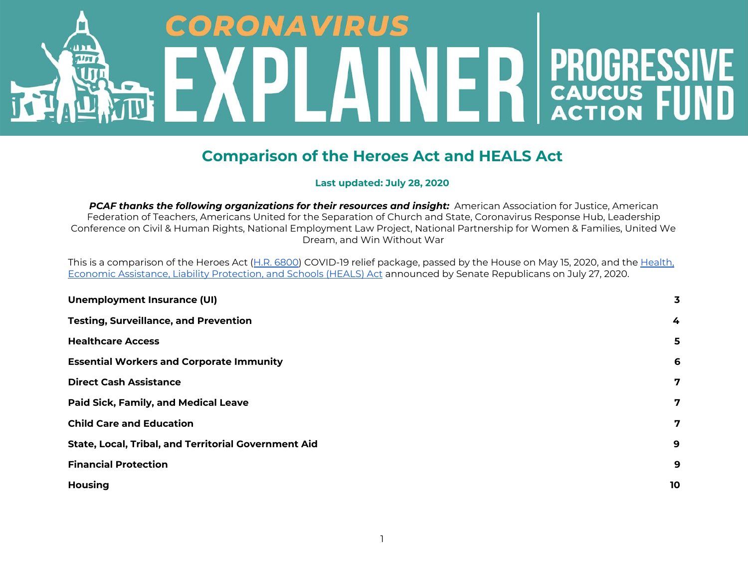# CORONAVIR US ת נ **PROGRESS**<br>CAUCUS FU **Alsu** 2 K

## **Comparison of the Heroes Act and HEALS Act**

 **Last updated: July 28, 2020**

 *PCAF thanks the following organizations for their resources and insight:* American Association for Justice, American Federation of Teachers, Americans United for the Separation of Church and State, Coronavirus Response Hub, Leadership Conference on Civil & Human Rights, National Employment Law Project, National Partnership for Women & Families, United We Dream, and Win Without War

Thisis a comparison of the Heroes Act (<u>H.R. 6800</u>) COVID-19 relief package, passed by the House on May 15, 2020, and the <u>[Health,](https://www.republicanleader.senate.gov/newsroom/research/senate-republicans-introduce-the-heals-act)</u>  Economic Assistance, Liability Protection, and Schools (HEALS) Act announced by Senate Republicans on July 27, 2020.

| <b>Unemployment Insurance (UI)</b>                          | 3  |
|-------------------------------------------------------------|----|
| <b>Testing, Surveillance, and Prevention</b>                | 4  |
| <b>Healthcare Access</b>                                    | 5  |
| <b>Essential Workers and Corporate Immunity</b>             | 6  |
| <b>Direct Cash Assistance</b>                               | 7  |
| <b>Paid Sick, Family, and Medical Leave</b>                 | 7  |
| <b>Child Care and Education</b>                             | 7  |
| <b>State, Local, Tribal, and Territorial Government Aid</b> | 9  |
| <b>Financial Protection</b>                                 | 9  |
| <b>Housing</b>                                              | 10 |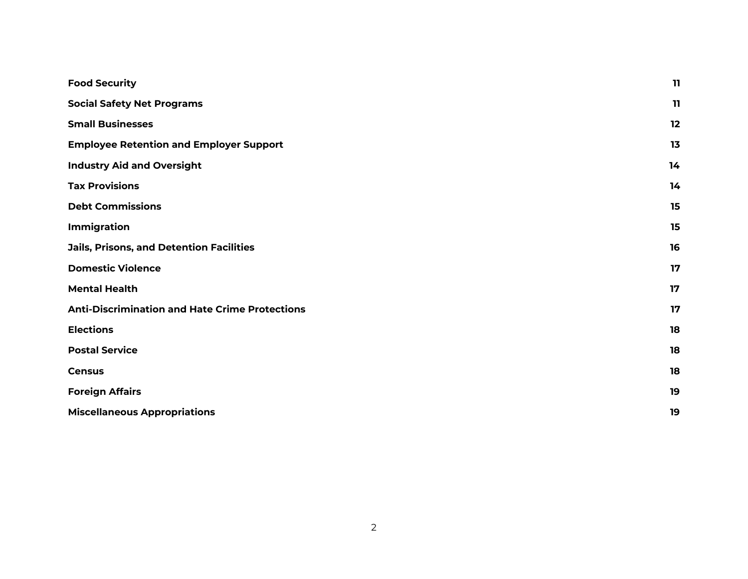| <b>Food Security</b>                                  | 11 |
|-------------------------------------------------------|----|
| <b>Social Safety Net Programs</b>                     | 11 |
| <b>Small Businesses</b>                               | 12 |
| <b>Employee Retention and Employer Support</b>        | 13 |
| <b>Industry Aid and Oversight</b>                     | 14 |
| <b>Tax Provisions</b>                                 | 14 |
| <b>Debt Commissions</b>                               | 15 |
| Immigration                                           | 15 |
| <b>Jails, Prisons, and Detention Facilities</b>       | 16 |
| <b>Domestic Violence</b>                              | 17 |
| <b>Mental Health</b>                                  | 17 |
| <b>Anti-Discrimination and Hate Crime Protections</b> | 17 |
| <b>Elections</b>                                      | 18 |
| <b>Postal Service</b>                                 | 18 |
| <b>Census</b>                                         | 18 |
| <b>Foreign Affairs</b>                                | 19 |
| <b>Miscellaneous Appropriations</b>                   | 19 |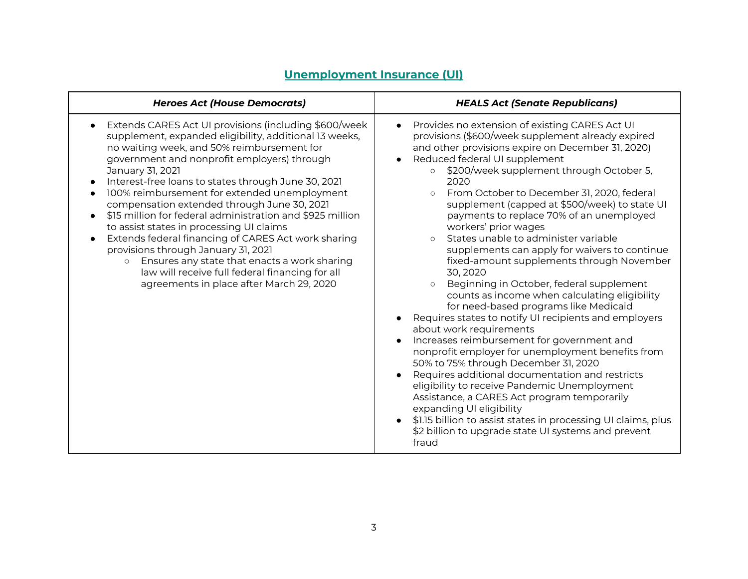<span id="page-2-0"></span>

| <b>Heroes Act (House Democrats)</b>                                                                                                                                                                                                                                                                                                                                                                                                                                                                                                                                                                                                                                                                                                                     | <b>HEALS Act (Senate Republicans)</b>                                                                                                                                                                                                                                                                                                                                                                                                                                                                                                                                                                                                                                                                                                                                                                                                                                                                                                                                                                                                                                                                                                                                                                                                                                                                                             |
|---------------------------------------------------------------------------------------------------------------------------------------------------------------------------------------------------------------------------------------------------------------------------------------------------------------------------------------------------------------------------------------------------------------------------------------------------------------------------------------------------------------------------------------------------------------------------------------------------------------------------------------------------------------------------------------------------------------------------------------------------------|-----------------------------------------------------------------------------------------------------------------------------------------------------------------------------------------------------------------------------------------------------------------------------------------------------------------------------------------------------------------------------------------------------------------------------------------------------------------------------------------------------------------------------------------------------------------------------------------------------------------------------------------------------------------------------------------------------------------------------------------------------------------------------------------------------------------------------------------------------------------------------------------------------------------------------------------------------------------------------------------------------------------------------------------------------------------------------------------------------------------------------------------------------------------------------------------------------------------------------------------------------------------------------------------------------------------------------------|
| Extends CARES Act UI provisions (including \$600/week<br>supplement, expanded eligibility, additional 13 weeks,<br>no waiting week, and 50% reimbursement for<br>government and nonprofit employers) through<br>January 31, 2021<br>Interest-free loans to states through June 30, 2021<br>100% reimbursement for extended unemployment<br>compensation extended through June 30, 2021<br>\$15 million for federal administration and \$925 million<br>to assist states in processing UI claims<br>Extends federal financing of CARES Act work sharing<br>provisions through January 31, 2021<br>Ensures any state that enacts a work sharing<br>$\circ$<br>law will receive full federal financing for all<br>agreements in place after March 29, 2020 | Provides no extension of existing CARES Act UI<br>$\bullet$<br>provisions (\$600/week supplement already expired<br>and other provisions expire on December 31, 2020)<br>Reduced federal UI supplement<br>$\bullet$<br>\$200/week supplement through October 5,<br>2020<br>From October to December 31, 2020, federal<br>$\Omega$<br>supplement (capped at \$500/week) to state UI<br>payments to replace 70% of an unemployed<br>workers' prior wages<br>States unable to administer variable<br>supplements can apply for waivers to continue<br>fixed-amount supplements through November<br>30, 2020<br>Beginning in October, federal supplement<br>$\circ$<br>counts as income when calculating eligibility<br>for need-based programs like Medicaid<br>Requires states to notify UI recipients and employers<br>about work requirements<br>Increases reimbursement for government and<br>$\bullet$<br>nonprofit employer for unemployment benefits from<br>50% to 75% through December 31, 2020<br>Requires additional documentation and restricts<br>$\bullet$<br>eligibility to receive Pandemic Unemployment<br>Assistance, a CARES Act program temporarily<br>expanding UI eligibility<br>\$1.15 billion to assist states in processing UI claims, plus<br>\$2 billion to upgrade state UI systems and prevent<br>fraud |

## **Unemployment Insurance (UI)**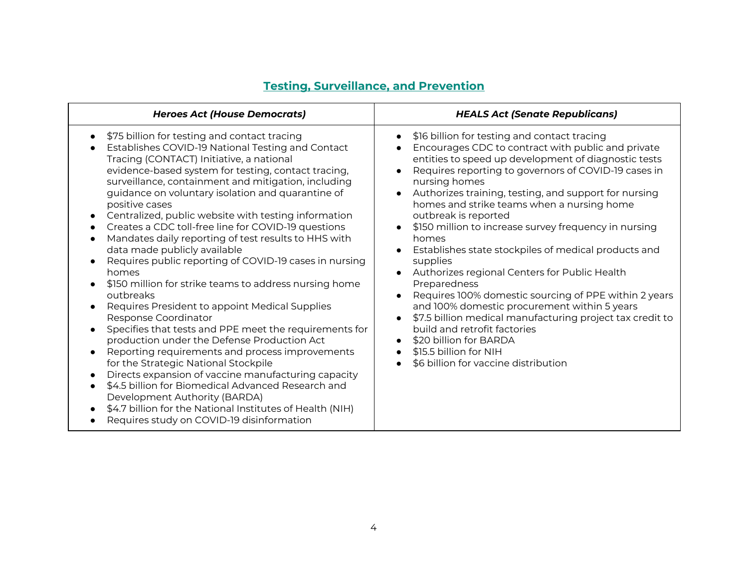<span id="page-3-0"></span>

| <b>Heroes Act (House Democrats)</b>                                                                                                                                                                                                                                                                                                                                                                                                                                                                                                                                                                                                                                                                                                                                                                                                                                                                                                                                                                                                                                                                                                                                                                                                                 | <b>HEALS Act (Senate Republicans)</b>                                                                                                                                                                                                                                                                                                                                                                                                                                                                                                                                                                                                                                                                                                                                                                                                                                                                                                                                               |
|-----------------------------------------------------------------------------------------------------------------------------------------------------------------------------------------------------------------------------------------------------------------------------------------------------------------------------------------------------------------------------------------------------------------------------------------------------------------------------------------------------------------------------------------------------------------------------------------------------------------------------------------------------------------------------------------------------------------------------------------------------------------------------------------------------------------------------------------------------------------------------------------------------------------------------------------------------------------------------------------------------------------------------------------------------------------------------------------------------------------------------------------------------------------------------------------------------------------------------------------------------|-------------------------------------------------------------------------------------------------------------------------------------------------------------------------------------------------------------------------------------------------------------------------------------------------------------------------------------------------------------------------------------------------------------------------------------------------------------------------------------------------------------------------------------------------------------------------------------------------------------------------------------------------------------------------------------------------------------------------------------------------------------------------------------------------------------------------------------------------------------------------------------------------------------------------------------------------------------------------------------|
| \$75 billion for testing and contact tracing<br>Establishes COVID-19 National Testing and Contact<br>Tracing (CONTACT) Initiative, a national<br>evidence-based system for testing, contact tracing,<br>surveillance, containment and mitigation, including<br>guidance on voluntary isolation and quarantine of<br>positive cases<br>Centralized, public website with testing information<br>Creates a CDC toll-free line for COVID-19 questions<br>$\bullet$<br>Mandates daily reporting of test results to HHS with<br>data made publicly available<br>Requires public reporting of COVID-19 cases in nursing<br>homes<br>\$150 million for strike teams to address nursing home<br>outbreaks<br>Requires President to appoint Medical Supplies<br>Response Coordinator<br>Specifies that tests and PPE meet the requirements for<br>production under the Defense Production Act<br>Reporting requirements and process improvements<br>$\bullet$<br>for the Strategic National Stockpile<br>Directs expansion of vaccine manufacturing capacity<br>\$4.5 billion for Biomedical Advanced Research and<br>Development Authority (BARDA)<br>\$4.7 billion for the National Institutes of Health (NIH)<br>Requires study on COVID-19 disinformation | \$16 billion for testing and contact tracing<br>Encourages CDC to contract with public and private<br>entities to speed up development of diagnostic tests<br>Requires reporting to governors of COVID-19 cases in<br>$\bullet$<br>nursing homes<br>Authorizes training, testing, and support for nursing<br>$\bullet$<br>homes and strike teams when a nursing home<br>outbreak is reported<br>\$150 million to increase survey frequency in nursing<br>$\bullet$<br>homes<br>Establishes state stockpiles of medical products and<br>$\bullet$<br>supplies<br>Authorizes regional Centers for Public Health<br>$\bullet$<br>Preparedness<br>Requires 100% domestic sourcing of PPE within 2 years<br>$\bullet$<br>and 100% domestic procurement within 5 years<br>\$7.5 billion medical manufacturing project tax credit to<br>$\bullet$<br>build and retrofit factories<br>\$20 billion for BARDA<br>\$15.5 billion for NIH<br>$\bullet$<br>\$6 billion for vaccine distribution |

#### **Testing, Surveillance, and Prevention**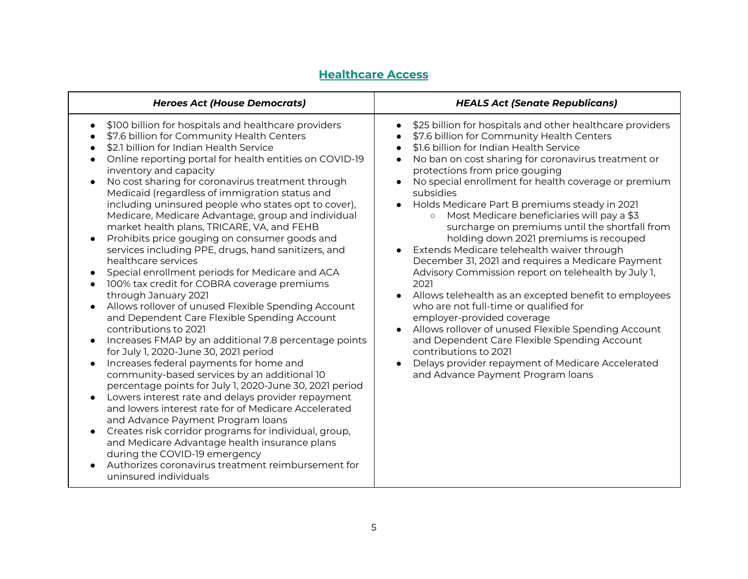### **Healthcare Access**

<span id="page-4-0"></span>

| <b>Heroes Act (House Democrats)</b>                                                                                                                                                                                                                                                                                                                                                                                                                                                                                                                                                                                                                                                                                                                                                                                                                                                                                                                                                                                                                                                                                                                                                                                                                                                                                                                                                                                                                                                                                                                                        | <b>HEALS Act (Senate Republicans)</b>                                                                                                                                                                                                                                                                                                                                                                                                                                                                                                                                                                                                                                                                                                                                                                                                                                                                                                                                                                                                                                                                                |
|----------------------------------------------------------------------------------------------------------------------------------------------------------------------------------------------------------------------------------------------------------------------------------------------------------------------------------------------------------------------------------------------------------------------------------------------------------------------------------------------------------------------------------------------------------------------------------------------------------------------------------------------------------------------------------------------------------------------------------------------------------------------------------------------------------------------------------------------------------------------------------------------------------------------------------------------------------------------------------------------------------------------------------------------------------------------------------------------------------------------------------------------------------------------------------------------------------------------------------------------------------------------------------------------------------------------------------------------------------------------------------------------------------------------------------------------------------------------------------------------------------------------------------------------------------------------------|----------------------------------------------------------------------------------------------------------------------------------------------------------------------------------------------------------------------------------------------------------------------------------------------------------------------------------------------------------------------------------------------------------------------------------------------------------------------------------------------------------------------------------------------------------------------------------------------------------------------------------------------------------------------------------------------------------------------------------------------------------------------------------------------------------------------------------------------------------------------------------------------------------------------------------------------------------------------------------------------------------------------------------------------------------------------------------------------------------------------|
| \$100 billion for hospitals and healthcare providers<br>$\bullet$<br>\$7.6 billion for Community Health Centers<br>\$2.1 billion for Indian Health Service<br>Online reporting portal for health entities on COVID-19<br>inventory and capacity<br>No cost sharing for coronavirus treatment through<br>$\bullet$<br>Medicaid (regardless of immigration status and<br>including uninsured people who states opt to cover),<br>Medicare, Medicare Advantage, group and individual<br>market health plans, TRICARE, VA, and FEHB<br>Prohibits price gouging on consumer goods and<br>services including PPE, drugs, hand sanitizers, and<br>healthcare services<br>Special enrollment periods for Medicare and ACA<br>100% tax credit for COBRA coverage premiums<br>through January 2021<br>Allows rollover of unused Flexible Spending Account<br>and Dependent Care Flexible Spending Account<br>contributions to 2021<br>Increases FMAP by an additional 7.8 percentage points<br>for July 1, 2020-June 30, 2021 period<br>Increases federal payments for home and<br>$\bullet$<br>community-based services by an additional 10<br>percentage points for July 1, 2020-June 30, 2021 period<br>Lowers interest rate and delays provider repayment<br>and lowers interest rate for of Medicare Accelerated<br>and Advance Payment Program loans<br>Creates risk corridor programs for individual, group,<br>and Medicare Advantage health insurance plans<br>during the COVID-19 emergency<br>Authorizes coronavirus treatment reimbursement for<br>uninsured individuals | \$25 billion for hospitals and other healthcare providers<br>$\bullet$<br>\$7.6 billion for Community Health Centers<br>\$1.6 billion for Indian Health Service<br>$\bullet$<br>No ban on cost sharing for coronavirus treatment or<br>$\bullet$<br>protections from price gouging<br>No special enrollment for health coverage or premium<br>$\bullet$<br>subsidies<br>Holds Medicare Part B premiums steady in 2021<br>Most Medicare beneficiaries will pay a \$3<br>$\circ$<br>surcharge on premiums until the shortfall from<br>holding down 2021 premiums is recouped<br>Extends Medicare telehealth waiver through<br>December 31, 2021 and requires a Medicare Payment<br>Advisory Commission report on telehealth by July 1,<br>2021<br>Allows telehealth as an excepted benefit to employees<br>who are not full-time or qualified for<br>employer-provided coverage<br>Allows rollover of unused Flexible Spending Account<br>and Dependent Care Flexible Spending Account<br>contributions to 2021<br>Delays provider repayment of Medicare Accelerated<br>$\bullet$<br>and Advance Payment Program loans |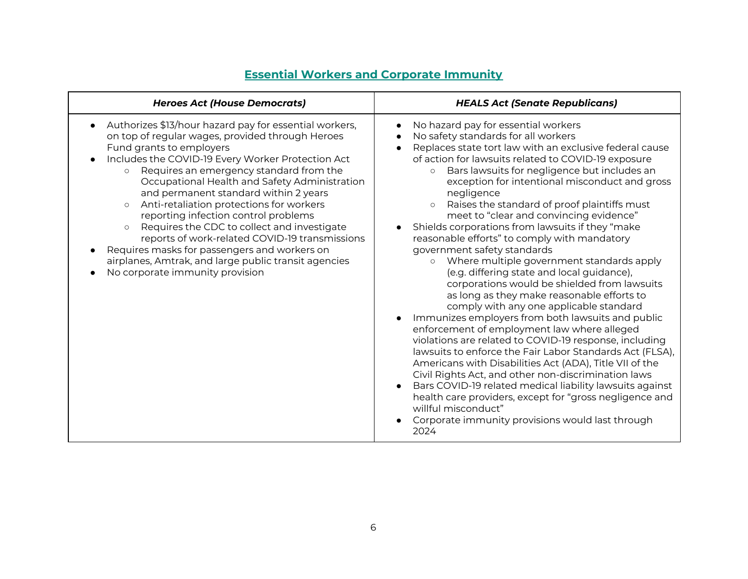<span id="page-5-0"></span>

| <b>Heroes Act (House Democrats)</b>                                                                                                                                                                                                                                                                                                                                                                                                                                                                                                                                                                                                                                         | <b>HEALS Act (Senate Republicans)</b>                                                                                                                                                                                                                                                                                                                                                                                                                                                                                                                                                                                                                                                                                                                                                                                                                                                                                                                                                                                                                                                                                                                                                                                                                                                                                                                                                |
|-----------------------------------------------------------------------------------------------------------------------------------------------------------------------------------------------------------------------------------------------------------------------------------------------------------------------------------------------------------------------------------------------------------------------------------------------------------------------------------------------------------------------------------------------------------------------------------------------------------------------------------------------------------------------------|--------------------------------------------------------------------------------------------------------------------------------------------------------------------------------------------------------------------------------------------------------------------------------------------------------------------------------------------------------------------------------------------------------------------------------------------------------------------------------------------------------------------------------------------------------------------------------------------------------------------------------------------------------------------------------------------------------------------------------------------------------------------------------------------------------------------------------------------------------------------------------------------------------------------------------------------------------------------------------------------------------------------------------------------------------------------------------------------------------------------------------------------------------------------------------------------------------------------------------------------------------------------------------------------------------------------------------------------------------------------------------------|
| Authorizes \$13/hour hazard pay for essential workers,<br>on top of regular wages, provided through Heroes<br>Fund grants to employers<br>Includes the COVID-19 Every Worker Protection Act<br>Requires an emergency standard from the<br>Occupational Health and Safety Administration<br>and permanent standard within 2 years<br>Anti-retaliation protections for workers<br>$\circ$<br>reporting infection control problems<br>Requires the CDC to collect and investigate<br>reports of work-related COVID-19 transmissions<br>Requires masks for passengers and workers on<br>airplanes, Amtrak, and large public transit agencies<br>No corporate immunity provision | No hazard pay for essential workers<br>$\bullet$<br>No safety standards for all workers<br>$\bullet$<br>Replaces state tort law with an exclusive federal cause<br>of action for lawsuits related to COVID-19 exposure<br>Bars lawsuits for negligence but includes an<br>$\circ$<br>exception for intentional misconduct and gross<br>negligence<br>Raises the standard of proof plaintiffs must<br>meet to "clear and convincing evidence"<br>Shields corporations from lawsuits if they "make<br>reasonable efforts" to comply with mandatory<br>government safety standards<br>Where multiple government standards apply<br>$\circ$<br>(e.g. differing state and local guidance),<br>corporations would be shielded from lawsuits<br>as long as they make reasonable efforts to<br>comply with any one applicable standard<br>Immunizes employers from both lawsuits and public<br>enforcement of employment law where alleged<br>violations are related to COVID-19 response, including<br>lawsuits to enforce the Fair Labor Standards Act (FLSA),<br>Americans with Disabilities Act (ADA), Title VII of the<br>Civil Rights Act, and other non-discrimination laws<br>Bars COVID-19 related medical liability lawsuits against<br>health care providers, except for "gross negligence and<br>willful misconduct"<br>Corporate immunity provisions would last through<br>2024 |

#### **Essential Workers and Corporate Immunity**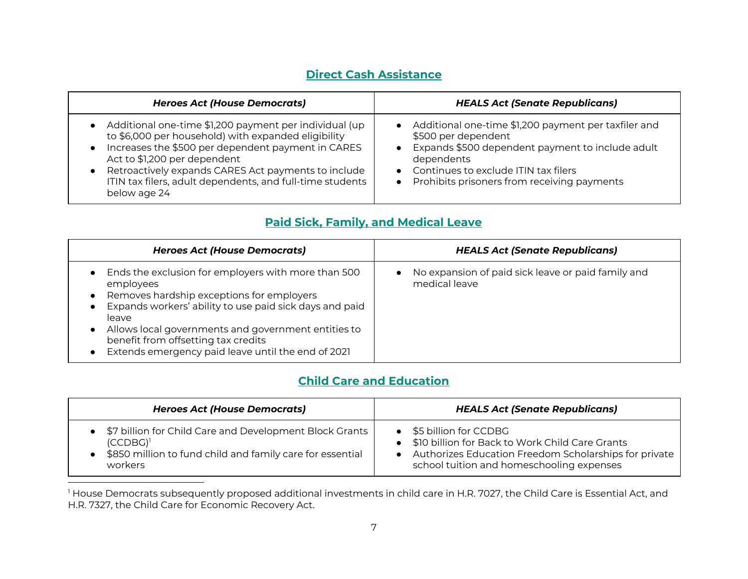### **Direct Cash Assistance**

<span id="page-6-0"></span>

| <b>Heroes Act (House Democrats)</b>                       | <b>HEALS Act (Senate Republicans)</b>                |
|-----------------------------------------------------------|------------------------------------------------------|
| • Additional one-time \$1,200 payment per individual (up  | Additional one-time \$1,200 payment per taxfiler and |
| to \$6,000 per household) with expanded eligibility       | \$500 per dependent                                  |
| Increases the \$500 per dependent payment in CARES        | Expands \$500 dependent payment to include adult     |
| Act to \$1,200 per dependent                              | dependents                                           |
| Retroactively expands CARES Act payments to include       | Continues to exclude ITIN tax filers                 |
| ITIN tax filers, adult dependents, and full-time students | Prohibits prisoners from receiving payments          |
| below age 24                                              | $\bullet$                                            |

### **Paid Sick, Family, and Medical Leave**

<span id="page-6-1"></span>

| <b>Heroes Act (House Democrats)</b>                                                                                                                                                                                                                                                                                                   | <b>HEALS Act (Senate Republicans)</b>                                            |
|---------------------------------------------------------------------------------------------------------------------------------------------------------------------------------------------------------------------------------------------------------------------------------------------------------------------------------------|----------------------------------------------------------------------------------|
| Ends the exclusion for employers with more than 500<br>employees<br>Removes hardship exceptions for employers<br>Expands workers' ability to use paid sick days and paid<br>leave<br>Allows local governments and government entities to<br>benefit from offsetting tax credits<br>Extends emergency paid leave until the end of 2021 | No expansion of paid sick leave or paid family and<br>$\bullet$<br>medical leave |

### **Child Care and Education**

<span id="page-6-2"></span>

| <b>Heroes Act (House Democrats)</b>                                                                                                            | <b>HEALS Act (Senate Republicans)</b>                                                                                                                                                       |
|------------------------------------------------------------------------------------------------------------------------------------------------|---------------------------------------------------------------------------------------------------------------------------------------------------------------------------------------------|
| \$7 billion for Child Care and Development Block Grants<br>$(CCDBG)^1$<br>\$850 million to fund child and family care for essential<br>workers | \$5 billion for CCDBG<br>\$10 billion for Back to Work Child Care Grants<br>$\bullet$<br>Authorizes Education Freedom Scholarships for private<br>school tuition and homeschooling expenses |

 $^{\rm l}$  House Democrats subsequently proposed additional investments in child care in H.R. 7027, the Child Care is Essential Act, and H.R. 7327, the Child Care for Economic Recovery Act.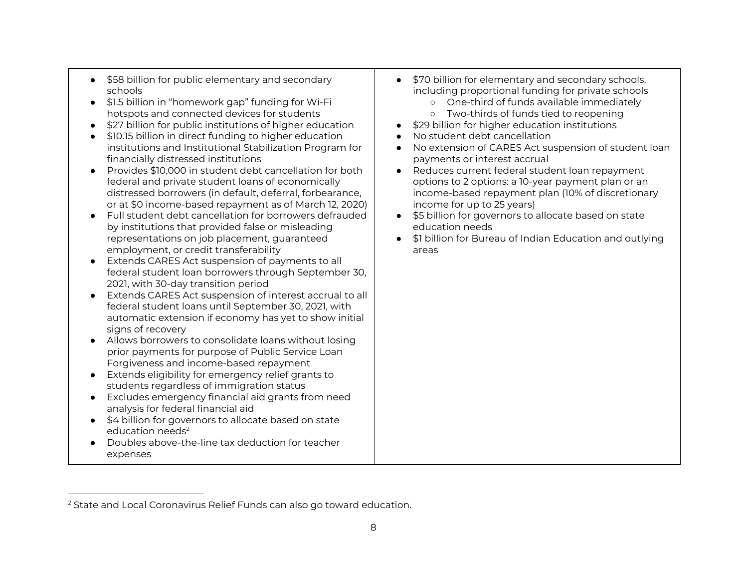- \$58 billion for public elementary and secondary
- \$1.5 billion in "homework gap" funding for Wi-Fi One-third of funds available immediately hotspots and connected devices for students | ○ Two-thirds of funds tied to reopening
- \$27 billion for public institutions of higher education \$29 billion for higher education institutions
- \$10.15 billion in direct funding to higher education **●** No student debt cancellation institutions and Institutional Stabilization Program for financially distressed institutions
- Provides \$10,000 in student debt cancellation for both │ Reduces current federal student loan repayment federal and private student loans of economically or at \$0 income-based repayment as of March 12, 2020) income for up to 25 years) federal and private student loans of economically  $\hskip1cm \qquad \qquad \vert \qquad \qquad$  options to 2 options: a 10-year payment plan or an
- Full student debt cancellation for borrowers defrauded by institutions that provided false or misleading  $\qquad \qquad \vert \qquad \qquad$  education needs representations on job placement, guaranteed employment, or credit transferability | areas ● Full student debt cancellation for borrowers defrauded | ● \$5 billion for governors to allocate based on state
- ● Extends CARES Act suspension of payments to all federal student loan borrowers through September 30, 2021, with 30-day transition period
- ● Extends CARES Act suspension of interest accrual to all federal student loans until September 30, 2021, with automatic extension if economy has yet to show initial signs of recovery
- ● Allows borrowers to consolidate loans without losing prior payments for purpose of Public Service Loan Forgiveness and income-based repayment
- ● Extends eligibility for emergency relief grants to students regardless of immigration status
- ● Excludes emergency financial aid grants from need analysis for federal financial aid
- ● \$4 billion for governors to allocate based on state education needs $2$
- ● Doubles above-the-line tax deduction for teacher expenses
- ● \$58 billion for public elementary and secondary \$70 billion for elementary and secondary schools, schools including proportional funding for private schools
	- o One-third of funds available immediately
	- o Two-thirds of funds tied to reopening
	- \$29 billion for higher education institutions
	- No student debt cancellation
	- institutions and Institutional Stabilization Program for No extension of CARES Act suspension of student loan payments or interest accrual
	- distressed borrowers (in default, deferral, forbearance,  $\quad$  income-based repayment plan (10% of discretionary • Reduces current federal student loan repayment income-based repayment plan (10% of discretionary income for up to 25 years)
		-
	- representations on job placement, guaranteed \$1 billion for Bureau of Indian Education and outlying

 $^{\rm 2}$  State and Local Coronavirus Relief Funds can also go toward education.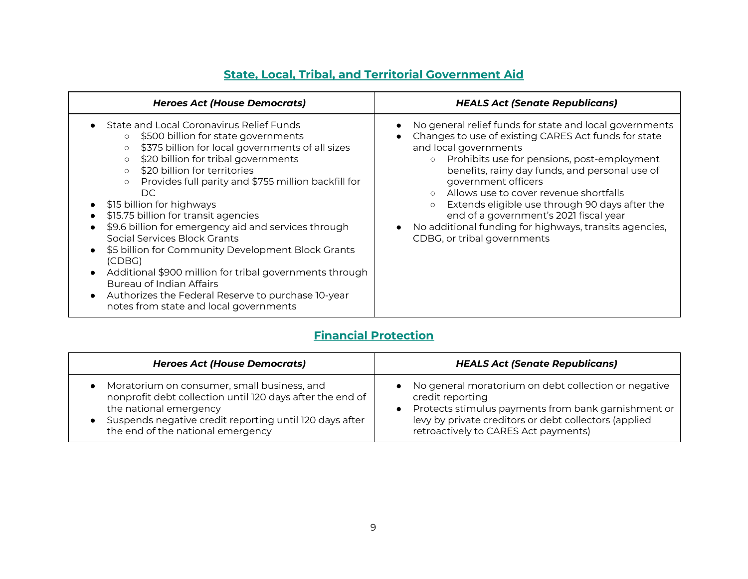<span id="page-8-0"></span>

| <b>Heroes Act (House Democrats)</b>                                                                                                                                                                                                                                                                                                                                                                                                                                                                                                                                                                                                                                                                                                                        | <b>HEALS Act (Senate Republicans)</b>                                                                                                                                                                                                                                                                                                                                                                                                                                                                                 |
|------------------------------------------------------------------------------------------------------------------------------------------------------------------------------------------------------------------------------------------------------------------------------------------------------------------------------------------------------------------------------------------------------------------------------------------------------------------------------------------------------------------------------------------------------------------------------------------------------------------------------------------------------------------------------------------------------------------------------------------------------------|-----------------------------------------------------------------------------------------------------------------------------------------------------------------------------------------------------------------------------------------------------------------------------------------------------------------------------------------------------------------------------------------------------------------------------------------------------------------------------------------------------------------------|
| State and Local Coronavirus Relief Funds<br>\$500 billion for state governments<br>$\circ$<br>\$375 billion for local governments of all sizes<br>$\circ$<br>\$20 billion for tribal governments<br>$\circ$<br>\$20 billion for territories<br>$\circ$<br>Provides full parity and \$755 million backfill for<br>$\circ$<br>DC.<br>\$15 billion for highways<br>\$15.75 billion for transit agencies<br>\$9.6 billion for emergency aid and services through<br>Social Services Block Grants<br>\$5 billion for Community Development Block Grants<br>(CDBG)<br>Additional \$900 million for tribal governments through<br><b>Bureau of Indian Affairs</b><br>Authorizes the Federal Reserve to purchase 10-year<br>notes from state and local governments | No general relief funds for state and local governments<br>Changes to use of existing CARES Act funds for state<br>and local governments<br>Prohibits use for pensions, post-employment<br>$\circ$<br>benefits, rainy day funds, and personal use of<br>government officers<br>Allows use to cover revenue shortfalls<br>Extends eligible use through 90 days after the<br>$\circ$<br>end of a government's 2021 fiscal year<br>No additional funding for highways, transits agencies,<br>CDBG, or tribal governments |

#### **State, Local, Tribal, and Territorial Government Aid**

### **Financial Protection**

<span id="page-8-1"></span>

| <b>Heroes Act (House Democrats)</b>                                                                                                                                                                                                | <b>HEALS Act (Senate Republicans)</b>                                                                                                                                                                                                         |
|------------------------------------------------------------------------------------------------------------------------------------------------------------------------------------------------------------------------------------|-----------------------------------------------------------------------------------------------------------------------------------------------------------------------------------------------------------------------------------------------|
| Moratorium on consumer, small business, and<br>nonprofit debt collection until 120 days after the end of<br>the national emergency<br>Suspends negative credit reporting until 120 days after<br>the end of the national emergency | No general moratorium on debt collection or negative<br>credit reporting<br>Protects stimulus payments from bank garnishment or<br>$\bullet$<br>levy by private creditors or debt collectors (applied<br>retroactively to CARES Act payments) |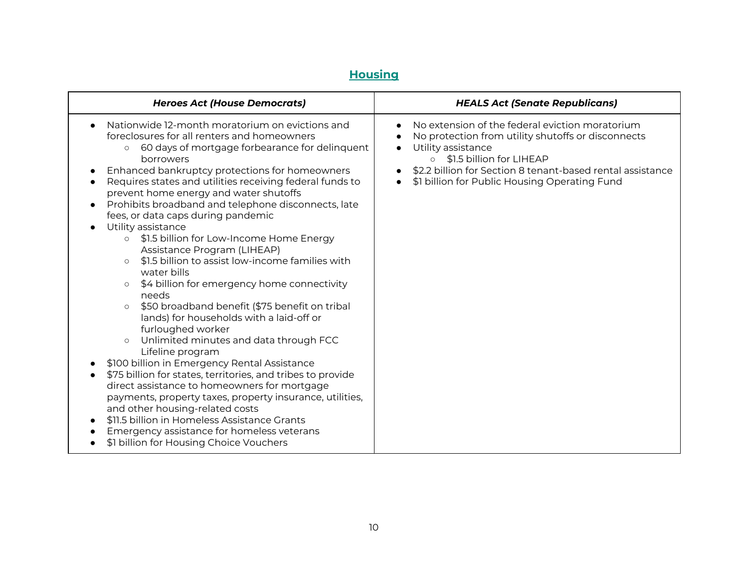## **Housing**

<span id="page-9-0"></span>

| <b>Heroes Act (House Democrats)</b>                                                                                                                                                                                                                                                                                                                                                                                                                                                                                                                                                                                                                                                                                                                                                                                                                                                                                                                                                                                                                                                                                                                                                                                                                                                                                                                                                                 | <b>HEALS Act (Senate Republicans)</b>                                                                                                                                                                                                                                                                                                 |
|-----------------------------------------------------------------------------------------------------------------------------------------------------------------------------------------------------------------------------------------------------------------------------------------------------------------------------------------------------------------------------------------------------------------------------------------------------------------------------------------------------------------------------------------------------------------------------------------------------------------------------------------------------------------------------------------------------------------------------------------------------------------------------------------------------------------------------------------------------------------------------------------------------------------------------------------------------------------------------------------------------------------------------------------------------------------------------------------------------------------------------------------------------------------------------------------------------------------------------------------------------------------------------------------------------------------------------------------------------------------------------------------------------|---------------------------------------------------------------------------------------------------------------------------------------------------------------------------------------------------------------------------------------------------------------------------------------------------------------------------------------|
| Nationwide 12-month moratorium on evictions and<br>foreclosures for all renters and homeowners<br>60 days of mortgage forbearance for delinquent<br>$\circ$<br>borrowers<br>Enhanced bankruptcy protections for homeowners<br>$\bullet$<br>Requires states and utilities receiving federal funds to<br>$\bullet$<br>prevent home energy and water shutoffs<br>Prohibits broadband and telephone disconnects, late<br>$\bullet$<br>fees, or data caps during pandemic<br>Utility assistance<br>$\bullet$<br>\$1.5 billion for Low-Income Home Energy<br>$\circ$<br>Assistance Program (LIHEAP)<br>\$1.5 billion to assist low-income families with<br>$\circ$<br>water bills<br>\$4 billion for emergency home connectivity<br>$\circ$<br>needs<br>\$50 broadband benefit (\$75 benefit on tribal<br>$\circ$<br>lands) for households with a laid-off or<br>furloughed worker<br>Unlimited minutes and data through FCC<br>$\circ$<br>Lifeline program<br>\$100 billion in Emergency Rental Assistance<br>$\bullet$<br>\$75 billion for states, territories, and tribes to provide<br>$\bullet$<br>direct assistance to homeowners for mortgage<br>payments, property taxes, property insurance, utilities,<br>and other housing-related costs<br>\$11.5 billion in Homeless Assistance Grants<br>$\bullet$<br>Emergency assistance for homeless veterans<br>\$1 billion for Housing Choice Vouchers | No extension of the federal eviction moratorium<br>$\bullet$<br>No protection from utility shutoffs or disconnects<br>Utility assistance<br>$\bullet$<br>\$1.5 billion for LIHEAP<br>$\circ$<br>\$2.2 billion for Section 8 tenant-based rental assistance<br>$\bullet$<br>\$1 billion for Public Housing Operating Fund<br>$\bullet$ |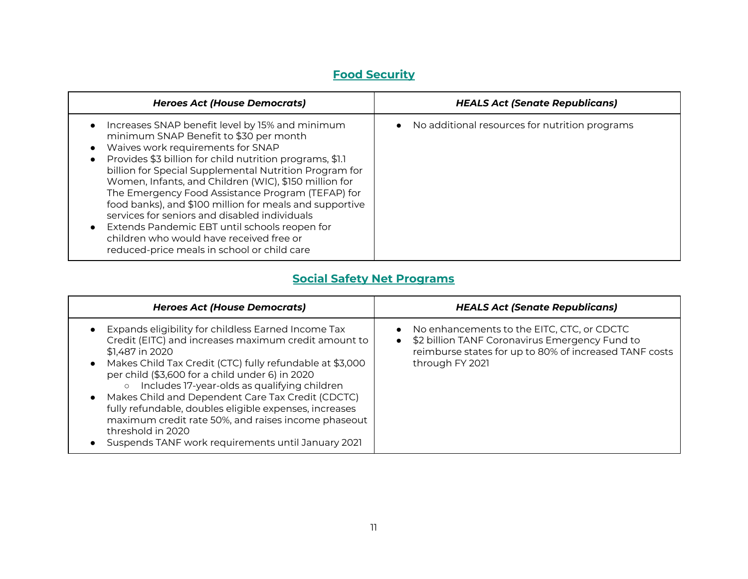## **Food Security**

<span id="page-10-0"></span>

| <b>Heroes Act (House Democrats)</b>                                                                                                                                                                                                                                                                                                                                                                                                                                                                                                                                                                                        | <b>HEALS Act (Senate Republicans)</b>                       |
|----------------------------------------------------------------------------------------------------------------------------------------------------------------------------------------------------------------------------------------------------------------------------------------------------------------------------------------------------------------------------------------------------------------------------------------------------------------------------------------------------------------------------------------------------------------------------------------------------------------------------|-------------------------------------------------------------|
| Increases SNAP benefit level by 15% and minimum<br>minimum SNAP Benefit to \$30 per month<br>Waives work requirements for SNAP<br>Provides \$3 billion for child nutrition programs, \$1.1<br>billion for Special Supplemental Nutrition Program for<br>Women, Infants, and Children (WIC), \$150 million for<br>The Emergency Food Assistance Program (TEFAP) for<br>food banks), and \$100 million for meals and supportive<br>services for seniors and disabled individuals<br>Extends Pandemic EBT until schools reopen for<br>children who would have received free or<br>reduced-price meals in school or child care | No additional resources for nutrition programs<br>$\bullet$ |

#### **Social Safety Net Programs**

<span id="page-10-1"></span>

| <b>Heroes Act (House Democrats)</b>                                                                                                                                                                                                                                                                                                                                                                                                                                                                                                                  | <b>HEALS Act (Senate Republicans)</b>                                                                                                                                     |
|------------------------------------------------------------------------------------------------------------------------------------------------------------------------------------------------------------------------------------------------------------------------------------------------------------------------------------------------------------------------------------------------------------------------------------------------------------------------------------------------------------------------------------------------------|---------------------------------------------------------------------------------------------------------------------------------------------------------------------------|
| • Expands eligibility for childless Earned Income Tax<br>Credit (EITC) and increases maximum credit amount to<br>\$1,487 in 2020<br>• Makes Child Tax Credit (CTC) fully refundable at \$3,000<br>per child (\$3,600 for a child under 6) in 2020<br>Includes 17-year-olds as qualifying children<br>• Makes Child and Dependent Care Tax Credit (CDCTC)<br>fully refundable, doubles eligible expenses, increases<br>maximum credit rate 50%, and raises income phaseout<br>threshold in 2020<br>Suspends TANF work requirements until January 2021 | No enhancements to the EITC, CTC, or CDCTC<br>\$2 billion TANF Coronavirus Emergency Fund to<br>reimburse states for up to 80% of increased TANF costs<br>through FY 2021 |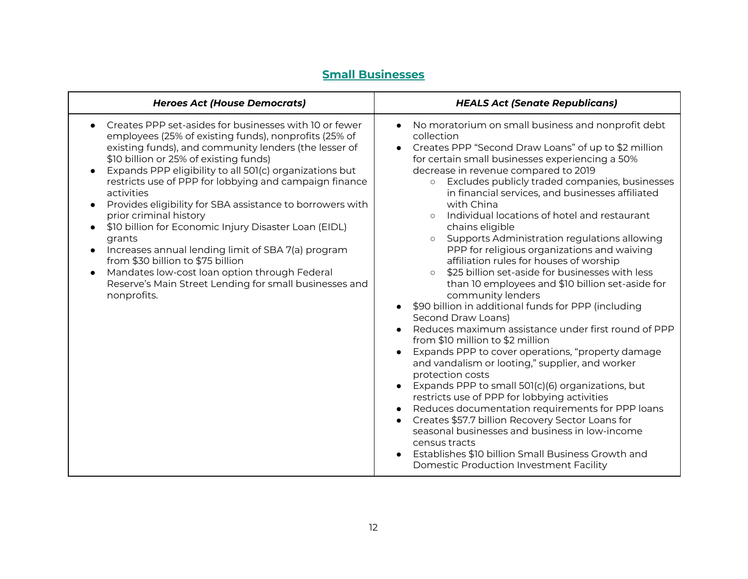## **Small Businesses**

<span id="page-11-0"></span>

| <b>Heroes Act (House Democrats)</b>                                                                                                                                                                                                                                                                                                                                                                                                                                                                                                                                                                                                                                                                                                                                                      | <b>HEALS Act (Senate Republicans)</b>                                                                                                                                                                                                                                                                                                                                                                                                                                                                                                                                                                                                                                                                                                                                                                                                                                                                                                                                                                                                                                                                                                                                                                                                                                                                                                                                                                                              |
|------------------------------------------------------------------------------------------------------------------------------------------------------------------------------------------------------------------------------------------------------------------------------------------------------------------------------------------------------------------------------------------------------------------------------------------------------------------------------------------------------------------------------------------------------------------------------------------------------------------------------------------------------------------------------------------------------------------------------------------------------------------------------------------|------------------------------------------------------------------------------------------------------------------------------------------------------------------------------------------------------------------------------------------------------------------------------------------------------------------------------------------------------------------------------------------------------------------------------------------------------------------------------------------------------------------------------------------------------------------------------------------------------------------------------------------------------------------------------------------------------------------------------------------------------------------------------------------------------------------------------------------------------------------------------------------------------------------------------------------------------------------------------------------------------------------------------------------------------------------------------------------------------------------------------------------------------------------------------------------------------------------------------------------------------------------------------------------------------------------------------------------------------------------------------------------------------------------------------------|
| Creates PPP set-asides for businesses with 10 or fewer<br>$\bullet$<br>employees (25% of existing funds), nonprofits (25% of<br>existing funds), and community lenders (the lesser of<br>\$10 billion or 25% of existing funds)<br>Expands PPP eligibility to all 501(c) organizations but<br>$\bullet$<br>restricts use of PPP for lobbying and campaign finance<br>activities<br>Provides eligibility for SBA assistance to borrowers with<br>$\bullet$<br>prior criminal history<br>\$10 billion for Economic Injury Disaster Loan (EIDL)<br>grants<br>Increases annual lending limit of SBA 7(a) program<br>from \$30 billion to \$75 billion<br>Mandates low-cost loan option through Federal<br>$\bullet$<br>Reserve's Main Street Lending for small businesses and<br>nonprofits. | No moratorium on small business and nonprofit debt<br>$\bullet$<br>collection<br>Creates PPP "Second Draw Loans" of up to \$2 million<br>$\bullet$<br>for certain small businesses experiencing a 50%<br>decrease in revenue compared to 2019<br>Excludes publicly traded companies, businesses<br>$\circ$<br>in financial services, and businesses affiliated<br>with China<br>Individual locations of hotel and restaurant<br>chains eligible<br>Supports Administration regulations allowing<br>PPP for religious organizations and waiving<br>affiliation rules for houses of worship<br>\$25 billion set-aside for businesses with less<br>$\circ$<br>than 10 employees and \$10 billion set-aside for<br>community lenders<br>\$90 billion in additional funds for PPP (including<br>Second Draw Loans)<br>Reduces maximum assistance under first round of PPP<br>from \$10 million to \$2 million<br>Expands PPP to cover operations, "property damage<br>and vandalism or looting," supplier, and worker<br>protection costs<br>Expands PPP to small 501(c)(6) organizations, but<br>$\bullet$<br>restricts use of PPP for lobbying activities<br>Reduces documentation requirements for PPP loans<br>Creates \$57.7 billion Recovery Sector Loans for<br>seasonal businesses and business in low-income<br>census tracts<br>Establishes \$10 billion Small Business Growth and<br>Domestic Production Investment Facility |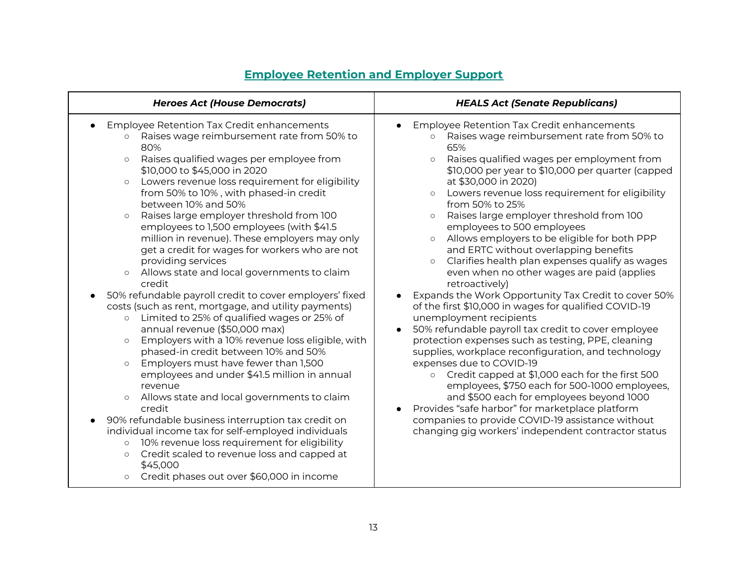<span id="page-12-0"></span>

| <b>Heroes Act (House Democrats)</b>                                                                                                                                                                                                                                                                                                                                                                                                                                                                                                                                                                                                                                                                                                                                                                                                                                                                                                                                                                                                                                                                                                                                                                                                                                                                                                                                                                                                   | <b>HEALS Act (Senate Republicans)</b>                                                                                                                                                                                                                                                                                                                                                                                                                                                                                                                                                                                                                                                                                                                                                                                                                                                                                                                                                                                                                                                                                                                                                                                                                                                                                                          |
|---------------------------------------------------------------------------------------------------------------------------------------------------------------------------------------------------------------------------------------------------------------------------------------------------------------------------------------------------------------------------------------------------------------------------------------------------------------------------------------------------------------------------------------------------------------------------------------------------------------------------------------------------------------------------------------------------------------------------------------------------------------------------------------------------------------------------------------------------------------------------------------------------------------------------------------------------------------------------------------------------------------------------------------------------------------------------------------------------------------------------------------------------------------------------------------------------------------------------------------------------------------------------------------------------------------------------------------------------------------------------------------------------------------------------------------|------------------------------------------------------------------------------------------------------------------------------------------------------------------------------------------------------------------------------------------------------------------------------------------------------------------------------------------------------------------------------------------------------------------------------------------------------------------------------------------------------------------------------------------------------------------------------------------------------------------------------------------------------------------------------------------------------------------------------------------------------------------------------------------------------------------------------------------------------------------------------------------------------------------------------------------------------------------------------------------------------------------------------------------------------------------------------------------------------------------------------------------------------------------------------------------------------------------------------------------------------------------------------------------------------------------------------------------------|
| Employee Retention Tax Credit enhancements<br>Raises wage reimbursement rate from 50% to<br>$\circ$<br>80%<br>Raises qualified wages per employee from<br>$\circ$<br>\$10,000 to \$45,000 in 2020<br>Lowers revenue loss requirement for eligibility<br>$\circ$<br>from 50% to 10%, with phased-in credit<br>between 10% and 50%<br>Raises large employer threshold from 100<br>$\circ$<br>employees to 1,500 employees (with \$41.5<br>million in revenue). These employers may only<br>get a credit for wages for workers who are not<br>providing services<br>Allows state and local governments to claim<br>$\circ$<br>credit<br>50% refundable payroll credit to cover employers' fixed<br>costs (such as rent, mortgage, and utility payments)<br>o Limited to 25% of qualified wages or 25% of<br>annual revenue (\$50,000 max)<br>Employers with a 10% revenue loss eligible, with<br>$\circ$<br>phased-in credit between 10% and 50%<br>Employers must have fewer than 1,500<br>$\circ$<br>employees and under \$41.5 million in annual<br>revenue<br>Allows state and local governments to claim<br>$\circ$<br>credit<br>90% refundable business interruption tax credit on<br>individual income tax for self-employed individuals<br>10% revenue loss requirement for eligibility<br>$\circ$<br>Credit scaled to revenue loss and capped at<br>$\circ$<br>\$45,000<br>Credit phases out over \$60,000 in income<br>$\circ$ | Employee Retention Tax Credit enhancements<br>Raises wage reimbursement rate from 50% to<br>$\Omega$<br>65%<br>Raises qualified wages per employment from<br>$\Omega$<br>\$10,000 per year to \$10,000 per quarter (capped<br>at \$30,000 in 2020)<br>Lowers revenue loss requirement for eligibility<br>$\circ$<br>from 50% to 25%<br>Raises large employer threshold from 100<br>$\circ$<br>employees to 500 employees<br>Allows employers to be eligible for both PPP<br>and ERTC without overlapping benefits<br>Clarifies health plan expenses qualify as wages<br>$\circ$<br>even when no other wages are paid (applies<br>retroactively)<br>Expands the Work Opportunity Tax Credit to cover 50%<br>$\bullet$<br>of the first \$10,000 in wages for qualified COVID-19<br>unemployment recipients<br>50% refundable payroll tax credit to cover employee<br>protection expenses such as testing, PPE, cleaning<br>supplies, workplace reconfiguration, and technology<br>expenses due to COVID-19<br>Credit capped at \$1,000 each for the first 500<br>$\circ$<br>employees, \$750 each for 500-1000 employees,<br>and \$500 each for employees beyond 1000<br>Provides "safe harbor" for marketplace platform<br>$\bullet$<br>companies to provide COVID-19 assistance without<br>changing gig workers' independent contractor status |

#### **Employee Retention and Employer Support**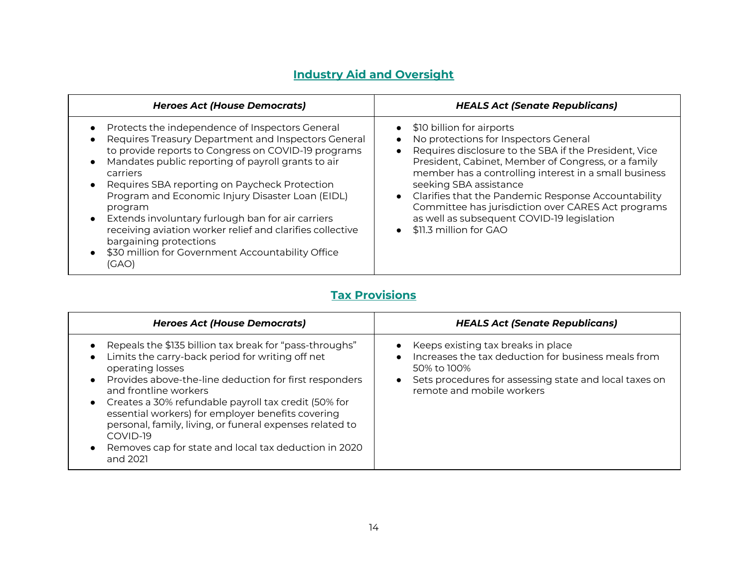### **Industry Aid and Oversight**

<span id="page-13-0"></span>

| <b>Heroes Act (House Democrats)</b>                                                                                                                                                                                                                                                                                                                                                                                                                                                                                                                                                                                                     | <b>HEALS Act (Senate Republicans)</b>                                                                                                                                                                                                                                                                                                                                                                                                                                                             |
|-----------------------------------------------------------------------------------------------------------------------------------------------------------------------------------------------------------------------------------------------------------------------------------------------------------------------------------------------------------------------------------------------------------------------------------------------------------------------------------------------------------------------------------------------------------------------------------------------------------------------------------------|---------------------------------------------------------------------------------------------------------------------------------------------------------------------------------------------------------------------------------------------------------------------------------------------------------------------------------------------------------------------------------------------------------------------------------------------------------------------------------------------------|
| Protects the independence of Inspectors General<br>$\bullet$<br>Requires Treasury Department and Inspectors General<br>$\bullet$<br>to provide reports to Congress on COVID-19 programs<br>Mandates public reporting of payroll grants to air<br>$\bullet$<br>carriers<br>Requires SBA reporting on Paycheck Protection<br>$\bullet$<br>Program and Economic Injury Disaster Loan (EIDL)<br>program<br>Extends involuntary furlough ban for air carriers<br>$\bullet$<br>receiving aviation worker relief and clarifies collective<br>bargaining protections<br>\$30 million for Government Accountability Office<br>$\bullet$<br>(GAO) | \$10 billion for airports<br>$\bullet$<br>No protections for Inspectors General<br>Requires disclosure to the SBA if the President, Vice<br>President, Cabinet, Member of Congress, or a family<br>member has a controlling interest in a small business<br>seeking SBA assistance<br>Clarifies that the Pandemic Response Accountability<br>$\bullet$<br>Committee has jurisdiction over CARES Act programs<br>as well as subsequent COVID-19 legislation<br>\$11.3 million for GAO<br>$\bullet$ |

## **Tax Provisions**

<span id="page-13-1"></span>

| <b>Heroes Act (House Democrats)</b>                                                                                                                                                                                                                                                                                                                                                                                                                                          | <b>HEALS Act (Senate Republicans)</b>                                                                                                                                                           |
|------------------------------------------------------------------------------------------------------------------------------------------------------------------------------------------------------------------------------------------------------------------------------------------------------------------------------------------------------------------------------------------------------------------------------------------------------------------------------|-------------------------------------------------------------------------------------------------------------------------------------------------------------------------------------------------|
| Repeals the \$135 billion tax break for "pass-throughs"<br>Limits the carry-back period for writing off net<br>operating losses<br>Provides above-the-line deduction for first responders<br>and frontline workers<br>Creates a 30% refundable payroll tax credit (50% for<br>essential workers) for employer benefits covering<br>personal, family, living, or funeral expenses related to<br>COVID-19<br>Removes cap for state and local tax deduction in 2020<br>and 2021 | Keeps existing tax breaks in place<br>Increases the tax deduction for business meals from<br>50% to 100%<br>Sets procedures for assessing state and local taxes on<br>remote and mobile workers |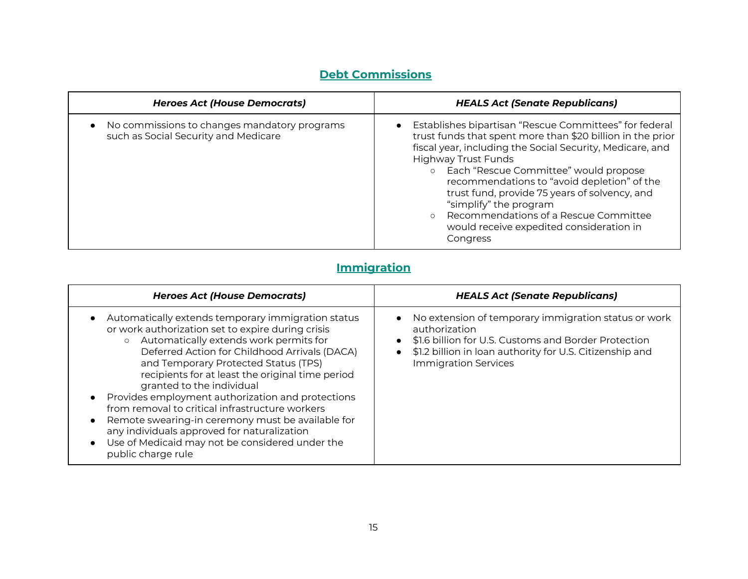## **Debt Commissions**

<span id="page-14-0"></span>

| <b>Heroes Act (House Democrats)</b>                                                  | <b>HEALS Act (Senate Republicans)</b>                                                                                                                                                                                                                                                                                                                                                                                                                                                                       |
|--------------------------------------------------------------------------------------|-------------------------------------------------------------------------------------------------------------------------------------------------------------------------------------------------------------------------------------------------------------------------------------------------------------------------------------------------------------------------------------------------------------------------------------------------------------------------------------------------------------|
| No commissions to changes mandatory programs<br>such as Social Security and Medicare | Establishes bipartisan "Rescue Committees" for federal<br>$\bullet$<br>trust funds that spent more than \$20 billion in the prior<br>fiscal year, including the Social Security, Medicare, and<br><b>Highway Trust Funds</b><br>Each "Rescue Committee" would propose<br>$\circ$<br>recommendations to "avoid depletion" of the<br>trust fund, provide 75 years of solvency, and<br>"simplify" the program<br>Recommendations of a Rescue Committee<br>would receive expedited consideration in<br>Congress |

## **Immigration**

<span id="page-14-1"></span>

| <b>Heroes Act (House Democrats)</b>                                                                                                                                                                                                                                                                                                                                                                                                                                                                                                                                                                                         | <b>HEALS Act (Senate Republicans)</b>                                                                                                                                                                                      |
|-----------------------------------------------------------------------------------------------------------------------------------------------------------------------------------------------------------------------------------------------------------------------------------------------------------------------------------------------------------------------------------------------------------------------------------------------------------------------------------------------------------------------------------------------------------------------------------------------------------------------------|----------------------------------------------------------------------------------------------------------------------------------------------------------------------------------------------------------------------------|
| Automatically extends temporary immigration status<br>or work authorization set to expire during crisis<br>Automatically extends work permits for<br>$\circ$<br>Deferred Action for Childhood Arrivals (DACA)<br>and Temporary Protected Status (TPS)<br>recipients for at least the original time period<br>granted to the individual<br>Provides employment authorization and protections<br>from removal to critical infrastructure workers<br>Remote swearing-in ceremony must be available for<br>any individuals approved for naturalization<br>Use of Medicaid may not be considered under the<br>public charge rule | • No extension of temporary immigration status or work<br>authorization<br>\$1.6 billion for U.S. Customs and Border Protection<br>\$1.2 billion in loan authority for U.S. Citizenship and<br><b>Immigration Services</b> |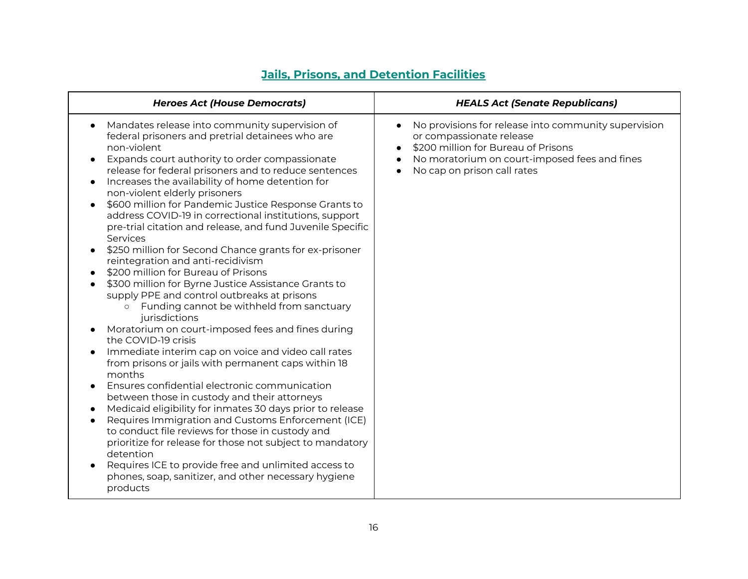<span id="page-15-0"></span>

| <b>Heroes Act (House Democrats)</b>                                                                                                                                                                                                                                                                                                                                                                                                                                                                                                                                                                                                                                                                                                                                                                                                                                                                                                                                                                                                                                                                                                                                                                                                                                                                                                                                                                                                                                                                                                                                                                  | <b>HEALS Act (Senate Republicans)</b>                                                                                                                                                                                                          |
|------------------------------------------------------------------------------------------------------------------------------------------------------------------------------------------------------------------------------------------------------------------------------------------------------------------------------------------------------------------------------------------------------------------------------------------------------------------------------------------------------------------------------------------------------------------------------------------------------------------------------------------------------------------------------------------------------------------------------------------------------------------------------------------------------------------------------------------------------------------------------------------------------------------------------------------------------------------------------------------------------------------------------------------------------------------------------------------------------------------------------------------------------------------------------------------------------------------------------------------------------------------------------------------------------------------------------------------------------------------------------------------------------------------------------------------------------------------------------------------------------------------------------------------------------------------------------------------------------|------------------------------------------------------------------------------------------------------------------------------------------------------------------------------------------------------------------------------------------------|
| Mandates release into community supervision of<br>$\bullet$<br>federal prisoners and pretrial detainees who are<br>non-violent<br>Expands court authority to order compassionate<br>$\bullet$<br>release for federal prisoners and to reduce sentences<br>Increases the availability of home detention for<br>$\bullet$<br>non-violent elderly prisoners<br>\$600 million for Pandemic Justice Response Grants to<br>address COVID-19 in correctional institutions, support<br>pre-trial citation and release, and fund Juvenile Specific<br>Services<br>\$250 million for Second Chance grants for ex-prisoner<br>reintegration and anti-recidivism<br>\$200 million for Bureau of Prisons<br>\$300 million for Byrne Justice Assistance Grants to<br>supply PPE and control outbreaks at prisons<br>Funding cannot be withheld from sanctuary<br>$\circ$<br>jurisdictions<br>Moratorium on court-imposed fees and fines during<br>the COVID-19 crisis<br>Immediate interim cap on voice and video call rates<br>from prisons or jails with permanent caps within 18<br>months<br>Ensures confidential electronic communication<br>$\bullet$<br>between those in custody and their attorneys<br>Medicaid eligibility for inmates 30 days prior to release<br>$\bullet$<br>Requires Immigration and Customs Enforcement (ICE)<br>$\bullet$<br>to conduct file reviews for those in custody and<br>prioritize for release for those not subject to mandatory<br>detention<br>Requires ICE to provide free and unlimited access to<br>phones, soap, sanitizer, and other necessary hygiene<br>products | No provisions for release into community supervision<br>$\bullet$<br>or compassionate release<br>\$200 million for Bureau of Prisons<br>No moratorium on court-imposed fees and fines<br>$\bullet$<br>No cap on prison call rates<br>$\bullet$ |

#### **Jails, Prisons, and Detention Facilities**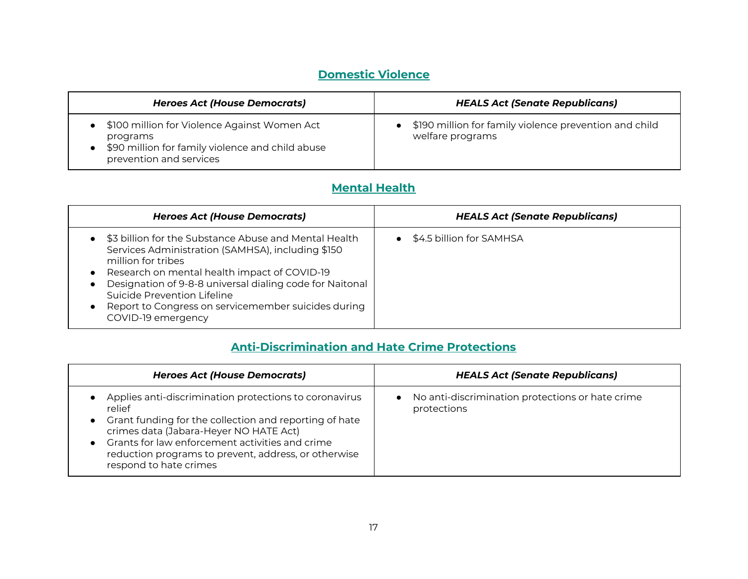## **Domestic Violence**

<span id="page-16-0"></span>

| <b>Heroes Act (House Democrats)</b>                                                                                                     | <b>HEALS Act (Senate Republicans)</b>                                      |
|-----------------------------------------------------------------------------------------------------------------------------------------|----------------------------------------------------------------------------|
| \$100 million for Violence Against Women Act<br>programs<br>\$90 million for family violence and child abuse<br>prevention and services | \$190 million for family violence prevention and child<br>welfare programs |

### **Mental Health**

<span id="page-16-1"></span>

| <b>Heroes Act (House Democrats)</b>                                                                                                                                                                                                                                                                                                                      | <b>HEALS Act (Senate Republicans)</b> |
|----------------------------------------------------------------------------------------------------------------------------------------------------------------------------------------------------------------------------------------------------------------------------------------------------------------------------------------------------------|---------------------------------------|
| \$3 billion for the Substance Abuse and Mental Health<br>Services Administration (SAMHSA), including \$150<br>million for tribes<br>Research on mental health impact of COVID-19<br>Designation of 9-8-8 universal dialing code for Naitonal<br>Suicide Prevention Lifeline<br>Report to Congress on servicemember suicides during<br>COVID-19 emergency | \$4.5 billion for SAMHSA              |

#### **Anti-Discrimination and Hate Crime Protections**

<span id="page-16-2"></span>

| <b>Heroes Act (House Democrats)</b>                                                                                                                                                                                                                                                                       | <b>HEALS Act (Senate Republicans)</b>                                        |
|-----------------------------------------------------------------------------------------------------------------------------------------------------------------------------------------------------------------------------------------------------------------------------------------------------------|------------------------------------------------------------------------------|
| Applies anti-discrimination protections to coronavirus<br>relief<br>Grant funding for the collection and reporting of hate<br>crimes data (Jabara-Heyer NO HATE Act)<br>Grants for law enforcement activities and crime<br>reduction programs to prevent, address, or otherwise<br>respond to hate crimes | No anti-discrimination protections or hate crime<br>$\bullet$<br>protections |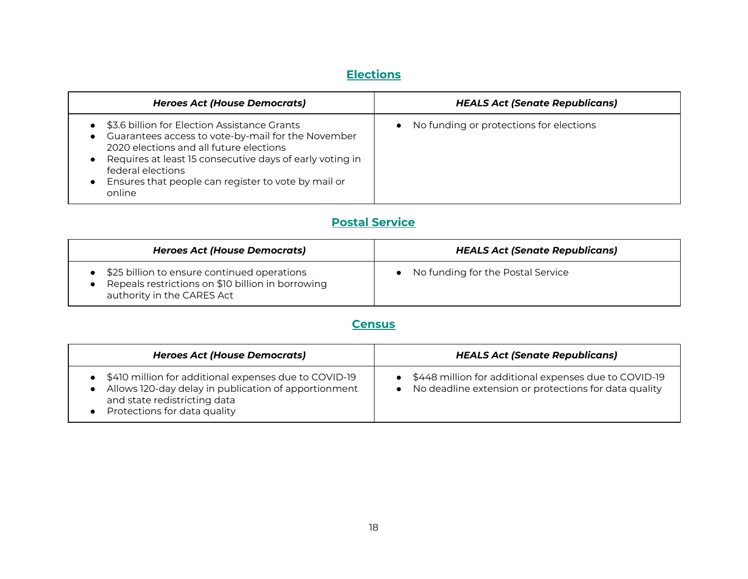## **Elections**

<span id="page-17-0"></span>

| <b>Heroes Act (House Democrats)</b>                                                                                                                                                                                                                                                             | <b>HEALS Act (Senate Republicans)</b>                |
|-------------------------------------------------------------------------------------------------------------------------------------------------------------------------------------------------------------------------------------------------------------------------------------------------|------------------------------------------------------|
| \$3.6 billion for Election Assistance Grants<br>Guarantees access to vote-by-mail for the November<br>2020 elections and all future elections<br>Requires at least 15 consecutive days of early voting in<br>federal elections<br>Ensures that people can register to vote by mail or<br>online | No funding or protections for elections<br>$\bullet$ |

## **Postal Service**

<span id="page-17-1"></span>

| <b>Heroes Act (House Democrats)</b>                                                                                            | <b>HEALS Act (Senate Republicans)</b> |
|--------------------------------------------------------------------------------------------------------------------------------|---------------------------------------|
| \$25 billion to ensure continued operations<br>Repeals restrictions on \$10 billion in borrowing<br>authority in the CARES Act | No funding for the Postal Service     |

### **Census**

<span id="page-17-2"></span>

| <b>Heroes Act (House Democrats)</b>                                                                                                                                             | <b>HEALS Act (Senate Republicans)</b>                                                                              |
|---------------------------------------------------------------------------------------------------------------------------------------------------------------------------------|--------------------------------------------------------------------------------------------------------------------|
| • \$410 million for additional expenses due to COVID-19<br>Allows 120-day delay in publication of apportionment<br>and state redistricting data<br>Protections for data quality | • \$448 million for additional expenses due to COVID-19<br>• No deadline extension or protections for data quality |